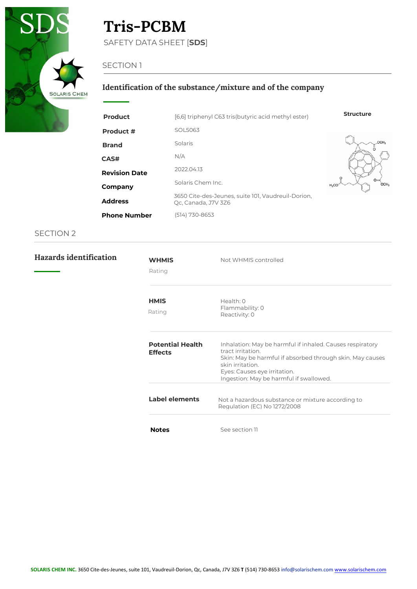

# **Tris-PCBM**

SAFETY DATA SHEET [**SDS**]

## SECTION 1

## **Identification of the substance/mixture and of the company**

| <b>Product</b>       | [6,6] triphenyl C63 tris(butyric acid methyl ester)                       | <b>Structure</b>            |
|----------------------|---------------------------------------------------------------------------|-----------------------------|
| Product #            | SOL5063                                                                   |                             |
| <b>Brand</b>         | Solaris                                                                   | OCH <sub>2</sub>            |
| <b>CAS#</b>          | N/A                                                                       |                             |
| <b>Revision Date</b> | 2022.04.13                                                                |                             |
| Company              | Solaris Chem Inc.                                                         | OCH <sub>3</sub><br>$H_3CO$ |
| <b>Address</b>       | 3650 Cite-des-Jeunes, suite 101, Vaudreuil-Dorion,<br>Qc, Canada, J7V 3Z6 |                             |
| <b>Phone Number</b>  | (514) 730-8653                                                            |                             |

| Hazards identification | <b>WHMIS</b><br>Rating                    | Not WHMIS controlled                                                                                                                                                                                                                       |
|------------------------|-------------------------------------------|--------------------------------------------------------------------------------------------------------------------------------------------------------------------------------------------------------------------------------------------|
|                        | <b>HMIS</b><br>Rating                     | Health: 0<br>Flammability: 0<br>Reactivity: 0                                                                                                                                                                                              |
|                        | <b>Potential Health</b><br><b>Effects</b> | Inhalation: May be harmful if inhaled. Causes respiratory<br>tract irritation.<br>Skin: May be harmful if absorbed through skin. May causes<br>skin irritation.<br>Eyes: Causes eye irritation.<br>Ingestion: May be harmful if swallowed. |
|                        | Label elements                            | Not a hazardous substance or mixture according to<br>Regulation (EC) No 1272/2008                                                                                                                                                          |
|                        | <b>Notes</b>                              | See section 11                                                                                                                                                                                                                             |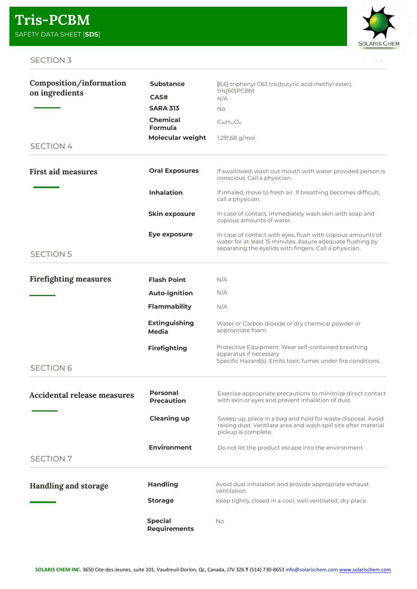

| Composition/information            | <b>Substance</b>                      | [6,6] triphenyl C63 tris(butyric acid methyl ester),                                                                                                                                |
|------------------------------------|---------------------------------------|-------------------------------------------------------------------------------------------------------------------------------------------------------------------------------------|
| on ingredients                     | CAS#                                  | tris[60]PCBM<br>N/A                                                                                                                                                                 |
|                                    | <b>SARA 313</b>                       | <b>No</b>                                                                                                                                                                           |
|                                    | <b>Chemical</b><br>Formula            | $C_{96}H_{42}O_6$                                                                                                                                                                   |
|                                    | <b>Molecular weight</b>               | 1.291,68 g/mol                                                                                                                                                                      |
| <b>SECTION 4</b>                   |                                       |                                                                                                                                                                                     |
| <b>First aid measures</b>          | <b>Oral Exposures</b>                 | If swallowed, wash out mouth with water provided person is<br>conscious. Call a physician.                                                                                          |
|                                    | <b>Inhalation</b>                     | If inhaled, move to fresh air. If breathing becomes difficult,<br>call a physician.                                                                                                 |
|                                    | <b>Skin exposure</b>                  | In case of contact, immediately wash skin with soap and<br>copious amounts of water.                                                                                                |
|                                    | Eye exposure                          | In case of contact with eyes, flush with copious amounts of<br>water for at least 15 minutes. Assure adequate flushing by<br>separating the eyelids with fingers. Call a physician. |
| <b>SECTION 5</b>                   |                                       |                                                                                                                                                                                     |
| <b>Firefighting measures</b>       | <b>Flash Point</b>                    | N/A                                                                                                                                                                                 |
|                                    | <b>Auto-ignition</b>                  | N/A                                                                                                                                                                                 |
|                                    | <b>Flammability</b>                   | N/A                                                                                                                                                                                 |
|                                    | <b>Extinguishing</b><br>Media         | Water or Carbon dioxide or dry chemical powder or<br>appropriate foam.                                                                                                              |
|                                    | <b>Firefighting</b>                   | Protective Equipment: Wear self-contained breathing<br>apparatus if necessary                                                                                                       |
| <b>SECTION 6</b>                   |                                       | Specific Hazard(s): Emits toxic fumes under fire conditions.                                                                                                                        |
| <b>Accidental release measures</b> | Personal<br><b>Precaution</b>         | Exercise appropriate precautions to minimize direct contact<br>with skin or eyes and prevent inhalation of dust.                                                                    |
|                                    | <b>Cleaning up</b>                    | Sweep up, place in a bag and hold for waste disposal. Avoid<br>raising dust. Ventilate area and wash spill site after material<br>pickup is complete.                               |
| <b>SECTION 7</b>                   | <b>Environment</b>                    | Do not let the product escape into the environment                                                                                                                                  |
| <b>Handling and storage</b>        | <b>Handling</b>                       | Avoid dust inhalation and provide appropriate exhaust<br>ventilation                                                                                                                |
|                                    | <b>Storage</b>                        | Keep tightly closed in a cool, well ventilated, dry place.                                                                                                                          |
|                                    | <b>Special</b><br><b>Requirements</b> | No.                                                                                                                                                                                 |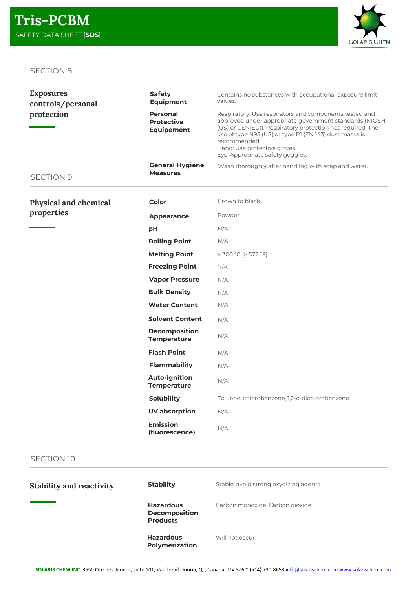

| <b>Exposures</b><br>controls/personal | <b>Safety</b><br><b>Equipment</b>                         | Contains no substances with occupational exposure limit<br>values.                                                                                                                                                                                                                                                           |
|---------------------------------------|-----------------------------------------------------------|------------------------------------------------------------------------------------------------------------------------------------------------------------------------------------------------------------------------------------------------------------------------------------------------------------------------------|
| protection                            | <b>Personal</b><br><b>Protective</b><br><b>Equipement</b> | Respiratory: Use respirators and components tested and<br>approved under appropriate government standards (NIOSH<br>(US) or CEN(EU)). Respiratory protection not required. The<br>use of type N95 (US) or type P1 (EN 143) dust masks is<br>recommended.<br>Hand: Use protective gloves.<br>Eye: Appropriate safety goggles. |
| <b>SECTION 9</b>                      | <b>General Hygiene</b><br><b>Measures</b>                 | Wash thoroughly after handling with soap and water.                                                                                                                                                                                                                                                                          |
| Physical and chemical                 | Color                                                     | Brown to black                                                                                                                                                                                                                                                                                                               |
| properties                            | Appearance                                                | Powder                                                                                                                                                                                                                                                                                                                       |
|                                       | рH                                                        | N/A                                                                                                                                                                                                                                                                                                                          |
|                                       | <b>Boiling Point</b>                                      | N/A                                                                                                                                                                                                                                                                                                                          |
|                                       | <b>Melting Point</b>                                      | $>$ 300 °C ( $>$ 572 °F)                                                                                                                                                                                                                                                                                                     |
|                                       | <b>Freezing Point</b>                                     | N/A                                                                                                                                                                                                                                                                                                                          |
|                                       | <b>Vapor Pressure</b>                                     | N/A                                                                                                                                                                                                                                                                                                                          |
|                                       | <b>Bulk Density</b>                                       | N/A                                                                                                                                                                                                                                                                                                                          |
|                                       | <b>Water Content</b>                                      | N/A                                                                                                                                                                                                                                                                                                                          |
|                                       | <b>Solvent Content</b>                                    | N/A                                                                                                                                                                                                                                                                                                                          |
|                                       | <b>Decomposition</b><br><b>Temperature</b>                | N/A                                                                                                                                                                                                                                                                                                                          |
|                                       | <b>Flash Point</b>                                        | N/A                                                                                                                                                                                                                                                                                                                          |
|                                       | <b>Flammability</b>                                       | N/A                                                                                                                                                                                                                                                                                                                          |
|                                       | <b>Auto-ignition</b><br><b>Temperature</b>                | N/A                                                                                                                                                                                                                                                                                                                          |
|                                       | <b>Solubility</b>                                         | Toluene, chlorobenzene, 1,2-o-dichlorobenzene                                                                                                                                                                                                                                                                                |
|                                       | <b>UV absorption</b>                                      | N/A                                                                                                                                                                                                                                                                                                                          |
|                                       | <b>Emission</b><br>(fluorescence)                         | N/A                                                                                                                                                                                                                                                                                                                          |

| <b>Stability and reactivity</b> | <b>Stability</b>                                            | Stable, avoid strong oxydizing agents |
|---------------------------------|-------------------------------------------------------------|---------------------------------------|
|                                 | <b>Hazardous</b><br><b>Decomposition</b><br><b>Products</b> | Carbon monoxide, Carbon dioxide.      |
|                                 | <b>Hazardous</b><br><b>Polymerization</b>                   | Will not occur                        |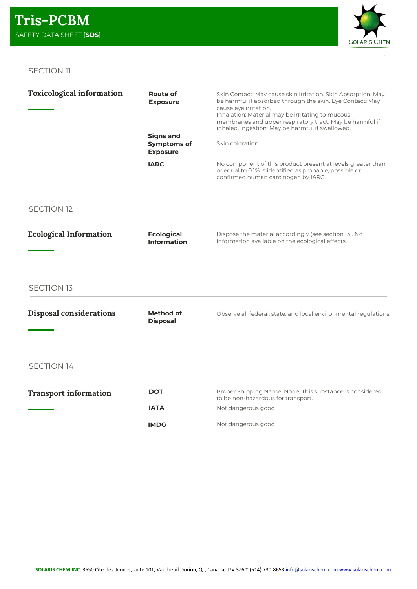

| <b>Route of</b><br><b>Exposure</b>                        | Skin Contact: May cause skin irritation. Skin Absorption: May<br>be harmful if absorbed through the skin. Eye Contact: May<br>cause eye irritation.<br>Inhalation: Material may be irritating to mucous<br>membranes and upper respiratory tract. May be harmful if<br>inhaled. Ingestion: May be harmful if swallowed. |
|-----------------------------------------------------------|-------------------------------------------------------------------------------------------------------------------------------------------------------------------------------------------------------------------------------------------------------------------------------------------------------------------------|
| <b>Signs and</b><br><b>Symptoms of</b><br><b>Exposure</b> | Skin coloration.                                                                                                                                                                                                                                                                                                        |
| <b>IARC</b>                                               | No component of this product present at levels greater than<br>or equal to 0.1% is identified as probable, possible or<br>confirmed human carcinogen by IARC.                                                                                                                                                           |
|                                                           |                                                                                                                                                                                                                                                                                                                         |
| <b>Ecological</b><br><b>Information</b>                   | Dispose the material accordingly (see section 13). No<br>information available on the ecological effects.                                                                                                                                                                                                               |
|                                                           |                                                                                                                                                                                                                                                                                                                         |
| Method of<br><b>Disposal</b>                              | Observe all federal, state, and local environmental regulations.                                                                                                                                                                                                                                                        |
|                                                           |                                                                                                                                                                                                                                                                                                                         |
|                                                           |                                                                                                                                                                                                                                                                                                                         |

| <b>Transport information</b> | DOT         | Proper Shipping Name: None, This substance is considered<br>to be non-hazardous for transport. |
|------------------------------|-------------|------------------------------------------------------------------------------------------------|
|                              | IATA        | Not dangerous good                                                                             |
|                              | <b>IMDG</b> | Not dangerous good                                                                             |